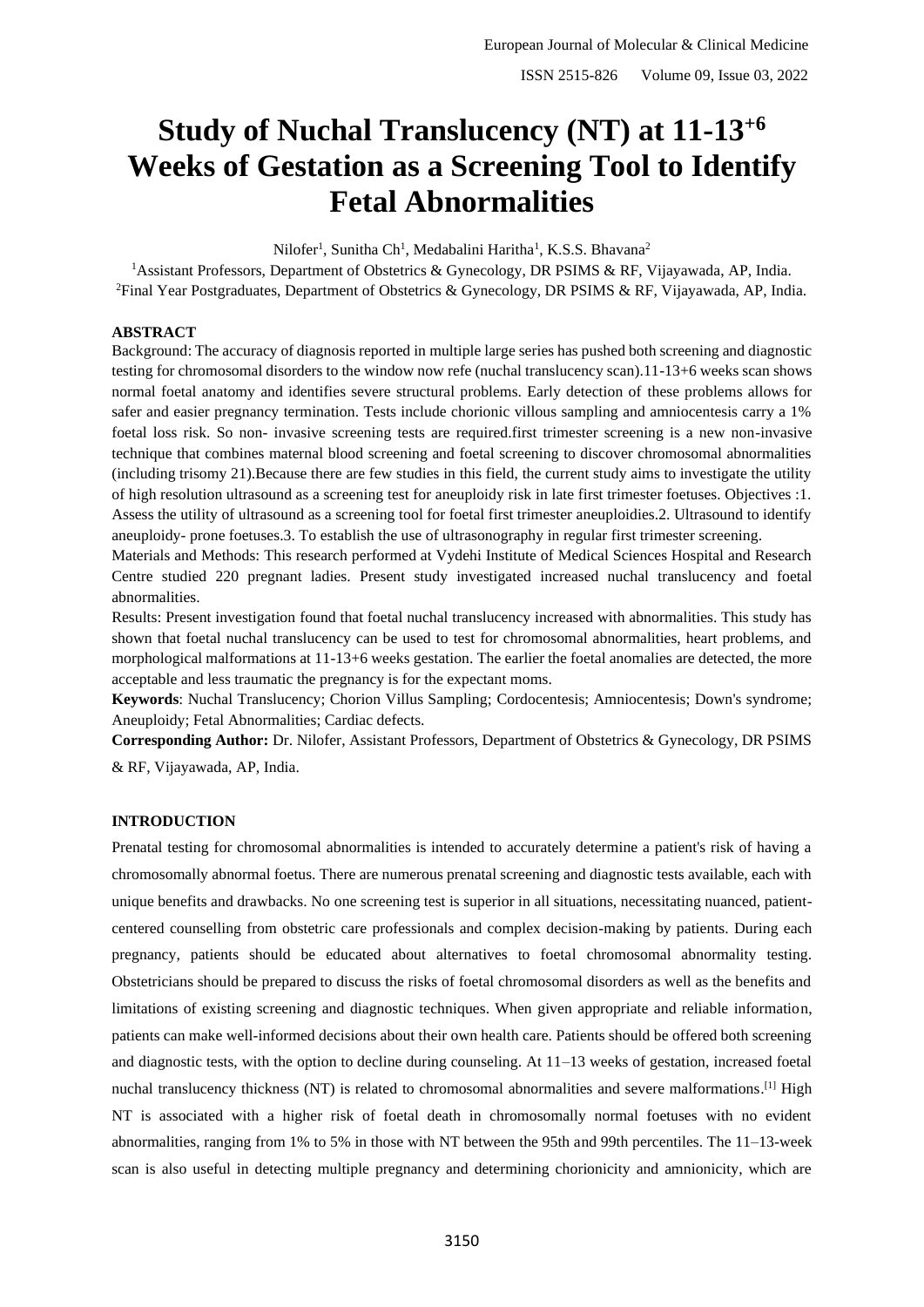# **Study of Nuchal Translucency (NT) at 11-13+6 Weeks of Gestation as a Screening Tool to Identify Fetal Abnormalities**

Nilofer<sup>1</sup>, Sunitha Ch<sup>1</sup>, Medabalini Haritha<sup>1</sup>, K.S.S. Bhavana<sup>2</sup>

<sup>1</sup>Assistant Professors, Department of Obstetrics & Gynecology, DR PSIMS & RF, Vijayawada, AP, India. <sup>2</sup>Final Year Postgraduates, Department of Obstetrics & Gynecology, DR PSIMS & RF, Vijayawada, AP, India.

### **ABSTRACT**

Background: The accuracy of diagnosis reported in multiple large series has pushed both screening and diagnostic testing for chromosomal disorders to the window now refe (nuchal translucency scan).11-13+6 weeks scan shows normal foetal anatomy and identifies severe structural problems. Early detection of these problems allows for safer and easier pregnancy termination. Tests include chorionic villous sampling and amniocentesis carry a 1% foetal loss risk. So non- invasive screening tests are required.first trimester screening is a new non-invasive technique that combines maternal blood screening and foetal screening to discover chromosomal abnormalities (including trisomy 21).Because there are few studies in this field, the current study aims to investigate the utility of high resolution ultrasound as a screening test for aneuploidy risk in late first trimester foetuses. Objectives :1. Assess the utility of ultrasound as a screening tool for foetal first trimester aneuploidies.2. Ultrasound to identify aneuploidy- prone foetuses.3. To establish the use of ultrasonography in regular first trimester screening.

Materials and Methods: This research performed at Vydehi Institute of Medical Sciences Hospital and Research Centre studied 220 pregnant ladies. Present study investigated increased nuchal translucency and foetal abnormalities.

Results: Present investigation found that foetal nuchal translucency increased with abnormalities. This study has shown that foetal nuchal translucency can be used to test for chromosomal abnormalities, heart problems, and morphological malformations at 11-13+6 weeks gestation. The earlier the foetal anomalies are detected, the more acceptable and less traumatic the pregnancy is for the expectant moms.

**Keywords**: Nuchal Translucency; Chorion Villus Sampling; Cordocentesis; Amniocentesis; Down's syndrome; Aneuploidy; Fetal Abnormalities; Cardiac defects.

**Corresponding Author:** Dr. Nilofer, Assistant Professors, Department of Obstetrics & Gynecology, DR PSIMS & RF, Vijayawada, AP, India.

## **INTRODUCTION**

Prenatal testing for chromosomal abnormalities is intended to accurately determine a patient's risk of having a chromosomally abnormal foetus. There are numerous prenatal screening and diagnostic tests available, each with unique benefits and drawbacks. No one screening test is superior in all situations, necessitating nuanced, patientcentered counselling from obstetric care professionals and complex decision-making by patients. During each pregnancy, patients should be educated about alternatives to foetal chromosomal abnormality testing. Obstetricians should be prepared to discuss the risks of foetal chromosomal disorders as well as the benefits and limitations of existing screening and diagnostic techniques. When given appropriate and reliable information, patients can make well-informed decisions about their own health care. Patients should be offered both screening and diagnostic tests, with the option to decline during counseling. At 11–13 weeks of gestation, increased foetal nuchal translucency thickness (NT) is related to chromosomal abnormalities and severe malformations.<sup>[1]</sup> High NT is associated with a higher risk of foetal death in chromosomally normal foetuses with no evident abnormalities, ranging from 1% to 5% in those with NT between the 95th and 99th percentiles. The 11–13-week scan is also useful in detecting multiple pregnancy and determining chorionicity and amnionicity, which are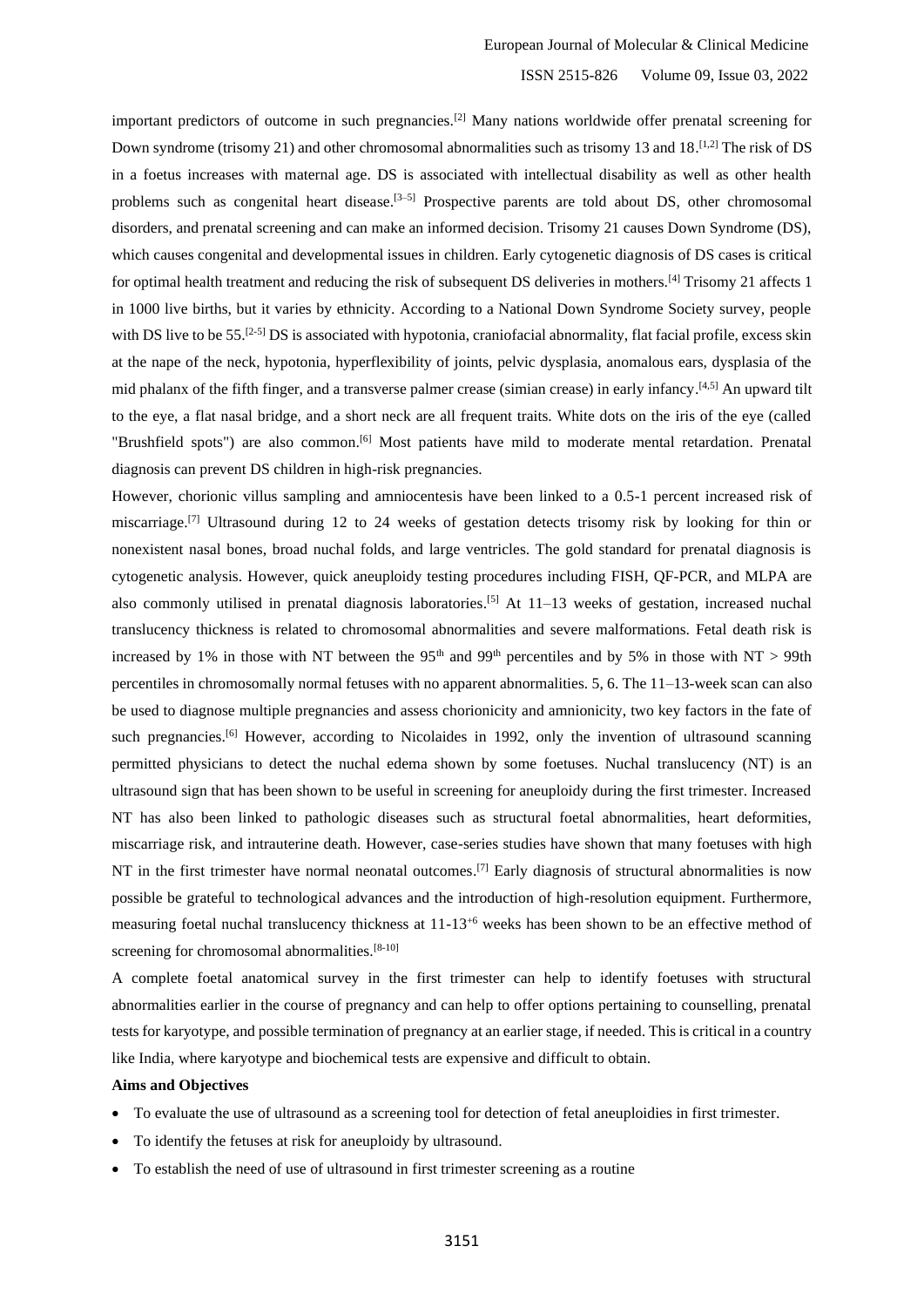important predictors of outcome in such pregnancies.[2] Many nations worldwide offer prenatal screening for Down syndrome (trisomy 21) and other chromosomal abnormalities such as trisomy 13 and 18.<sup>[1,2]</sup> The risk of DS in a foetus increases with maternal age. DS is associated with intellectual disability as well as other health problems such as congenital heart disease.<sup>[3–5]</sup> Prospective parents are told about DS, other chromosomal disorders, and prenatal screening and can make an informed decision. Trisomy 21 causes Down Syndrome (DS), which causes congenital and developmental issues in children. Early cytogenetic diagnosis of DS cases is critical for optimal health treatment and reducing the risk of subsequent DS deliveries in mothers.[4] Trisomy 21 affects 1 in 1000 live births, but it varies by ethnicity. According to a National Down Syndrome Society survey, people with DS live to be 55.<sup>[2-5]</sup> DS is associated with hypotonia, craniofacial abnormality, flat facial profile, excess skin at the nape of the neck, hypotonia, hyperflexibility of joints, pelvic dysplasia, anomalous ears, dysplasia of the mid phalanx of the fifth finger, and a transverse palmer crease (simian crease) in early infancy. [4,5] An upward tilt to the eye, a flat nasal bridge, and a short neck are all frequent traits. White dots on the iris of the eye (called "Brushfield spots") are also common.<sup>[6]</sup> Most patients have mild to moderate mental retardation. Prenatal diagnosis can prevent DS children in high-risk pregnancies.

However, chorionic villus sampling and amniocentesis have been linked to a 0.5-1 percent increased risk of miscarriage.[7] Ultrasound during 12 to 24 weeks of gestation detects trisomy risk by looking for thin or nonexistent nasal bones, broad nuchal folds, and large ventricles. The gold standard for prenatal diagnosis is cytogenetic analysis. However, quick aneuploidy testing procedures including FISH, QF-PCR, and MLPA are also commonly utilised in prenatal diagnosis laboratories.<sup>[5]</sup> At  $11-13$  weeks of gestation, increased nuchal translucency thickness is related to chromosomal abnormalities and severe malformations. Fetal death risk is increased by 1% in those with NT between the 95<sup>th</sup> and 99<sup>th</sup> percentiles and by 5% in those with NT > 99th percentiles in chromosomally normal fetuses with no apparent abnormalities. 5, 6. The 11–13-week scan can also be used to diagnose multiple pregnancies and assess chorionicity and amnionicity, two key factors in the fate of such pregnancies.<sup>[6]</sup> However, according to Nicolaides in 1992, only the invention of ultrasound scanning permitted physicians to detect the nuchal edema shown by some foetuses. Nuchal translucency (NT) is an ultrasound sign that has been shown to be useful in screening for aneuploidy during the first trimester. Increased NT has also been linked to pathologic diseases such as structural foetal abnormalities, heart deformities, miscarriage risk, and intrauterine death. However, case-series studies have shown that many foetuses with high NT in the first trimester have normal neonatal outcomes.<sup>[7]</sup> Early diagnosis of structural abnormalities is now possible be grateful to technological advances and the introduction of high-resolution equipment. Furthermore, measuring foetal nuchal translucency thickness at 11-13<sup>+6</sup> weeks has been shown to be an effective method of screening for chromosomal abnormalities.<sup>[8-10]</sup>

A complete foetal anatomical survey in the first trimester can help to identify foetuses with structural abnormalities earlier in the course of pregnancy and can help to offer options pertaining to counselling, prenatal tests for karyotype, and possible termination of pregnancy at an earlier stage, if needed. This is critical in a country like India, where karyotype and biochemical tests are expensive and difficult to obtain.

## **Aims and Objectives**

- To evaluate the use of ultrasound as a screening tool for detection of fetal aneuploidies in first trimester.
- To identify the fetuses at risk for aneuploidy by ultrasound.
- To establish the need of use of ultrasound in first trimester screening as a routine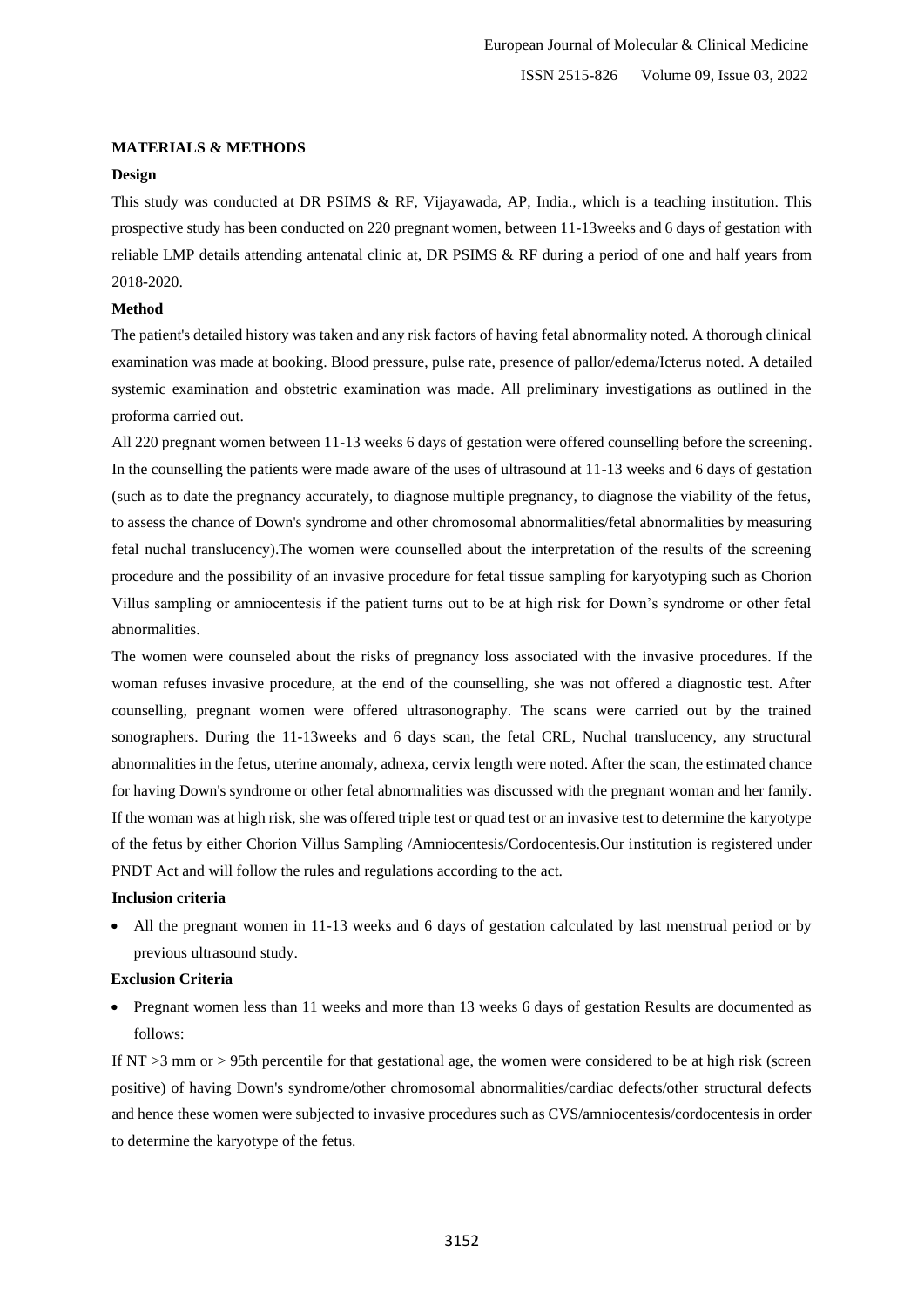### **MATERIALS & METHODS**

### **Design**

This study was conducted at DR PSIMS & RF, Vijayawada, AP, India., which is a teaching institution. This prospective study has been conducted on 220 pregnant women, between 11-13weeks and 6 days of gestation with reliable LMP details attending antenatal clinic at, DR PSIMS & RF during a period of one and half years from 2018-2020.

#### **Method**

The patient's detailed history was taken and any risk factors of having fetal abnormality noted. A thorough clinical examination was made at booking. Blood pressure, pulse rate, presence of pallor/edema/Icterus noted. A detailed systemic examination and obstetric examination was made. All preliminary investigations as outlined in the proforma carried out.

All 220 pregnant women between 11-13 weeks 6 days of gestation were offered counselling before the screening. In the counselling the patients were made aware of the uses of ultrasound at 11-13 weeks and 6 days of gestation (such as to date the pregnancy accurately, to diagnose multiple pregnancy, to diagnose the viability of the fetus, to assess the chance of Down's syndrome and other chromosomal abnormalities/fetal abnormalities by measuring fetal nuchal translucency).The women were counselled about the interpretation of the results of the screening procedure and the possibility of an invasive procedure for fetal tissue sampling for karyotyping such as Chorion Villus sampling or amniocentesis if the patient turns out to be at high risk for Down's syndrome or other fetal abnormalities.

The women were counseled about the risks of pregnancy loss associated with the invasive procedures. If the woman refuses invasive procedure, at the end of the counselling, she was not offered a diagnostic test. After counselling, pregnant women were offered ultrasonography. The scans were carried out by the trained sonographers. During the 11-13weeks and 6 days scan, the fetal CRL, Nuchal translucency, any structural abnormalities in the fetus, uterine anomaly, adnexa, cervix length were noted. After the scan, the estimated chance for having Down's syndrome or other fetal abnormalities was discussed with the pregnant woman and her family. If the woman was at high risk, she was offered triple test or quad test or an invasive test to determine the karyotype of the fetus by either Chorion Villus Sampling /Amniocentesis/Cordocentesis.Our institution is registered under PNDT Act and will follow the rules and regulations according to the act.

#### **Inclusion criteria**

• All the pregnant women in 11-13 weeks and 6 days of gestation calculated by last menstrual period or by previous ultrasound study.

#### **Exclusion Criteria**

• Pregnant women less than 11 weeks and more than 13 weeks 6 days of gestation Results are documented as follows:

If NT >3 mm or > 95th percentile for that gestational age, the women were considered to be at high risk (screen positive) of having Down's syndrome/other chromosomal abnormalities/cardiac defects/other structural defects and hence these women were subjected to invasive procedures such as CVS/amniocentesis/cordocentesis in order to determine the karyotype of the fetus.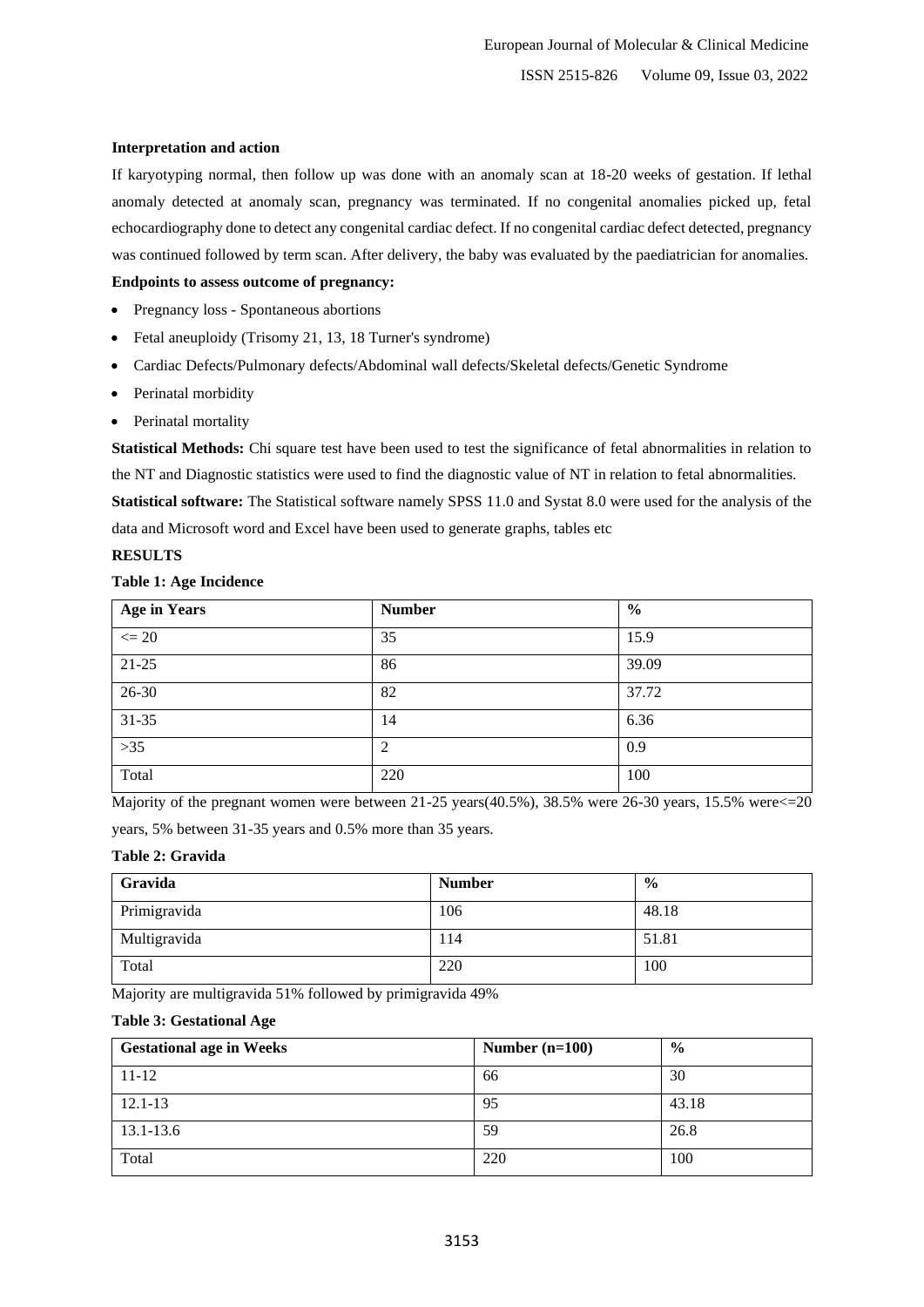## **Interpretation and action**

If karyotyping normal, then follow up was done with an anomaly scan at 18-20 weeks of gestation. If lethal anomaly detected at anomaly scan, pregnancy was terminated. If no congenital anomalies picked up, fetal echocardiography done to detect any congenital cardiac defect. If no congenital cardiac defect detected, pregnancy was continued followed by term scan. After delivery, the baby was evaluated by the paediatrician for anomalies.

## **Endpoints to assess outcome of pregnancy:**

- Pregnancy loss Spontaneous abortions
- Fetal aneuploidy (Trisomy 21, 13, 18 Turner's syndrome)
- Cardiac Defects/Pulmonary defects/Abdominal wall defects/Skeletal defects/Genetic Syndrome
- Perinatal morbidity
- Perinatal mortality

**Statistical Methods:** Chi square test have been used to test the significance of fetal abnormalities in relation to the NT and Diagnostic statistics were used to find the diagnostic value of NT in relation to fetal abnormalities. **Statistical software:** The Statistical software namely SPSS 11.0 and Systat 8.0 were used for the analysis of the data and Microsoft word and Excel have been used to generate graphs, tables etc

# **RESULTS**

# **Table 1: Age Incidence**

| <b>Age in Years</b> | <b>Number</b>  | $\frac{6}{6}$ |
|---------------------|----------------|---------------|
| $\leq$ 20           | 35             | 15.9          |
| $21 - 25$           | 86             | 39.09         |
| $26 - 30$           | 82             | 37.72         |
| $31 - 35$           | 14             | 6.36          |
| $>35$               | $\overline{c}$ | 0.9           |
| Total               | 220            | 100           |

Majority of the pregnant women were between 21-25 years(40.5%), 38.5% were 26-30 years, 15.5% were<=20

years, 5% between 31-35 years and 0.5% more than 35 years.

# **Table 2: Gravida**

| Gravida      | <b>Number</b> | $\frac{0}{0}$ |
|--------------|---------------|---------------|
| Primigravida | 106           | 48.18         |
| Multigravida | 114           | 51.81         |
| Total        | 220           | 100           |

Majority are multigravida 51% followed by primigravida 49%

# **Table 3: Gestational Age**

| <b>Gestational age in Weeks</b> | Number $(n=100)$ | $\frac{6}{9}$ |
|---------------------------------|------------------|---------------|
| $11 - 12$                       | 66               | 30            |
| $12.1 - 13$                     | 95               | 43.18         |
| 13.1-13.6                       | 59               | 26.8          |
| Total                           | 220              | 100           |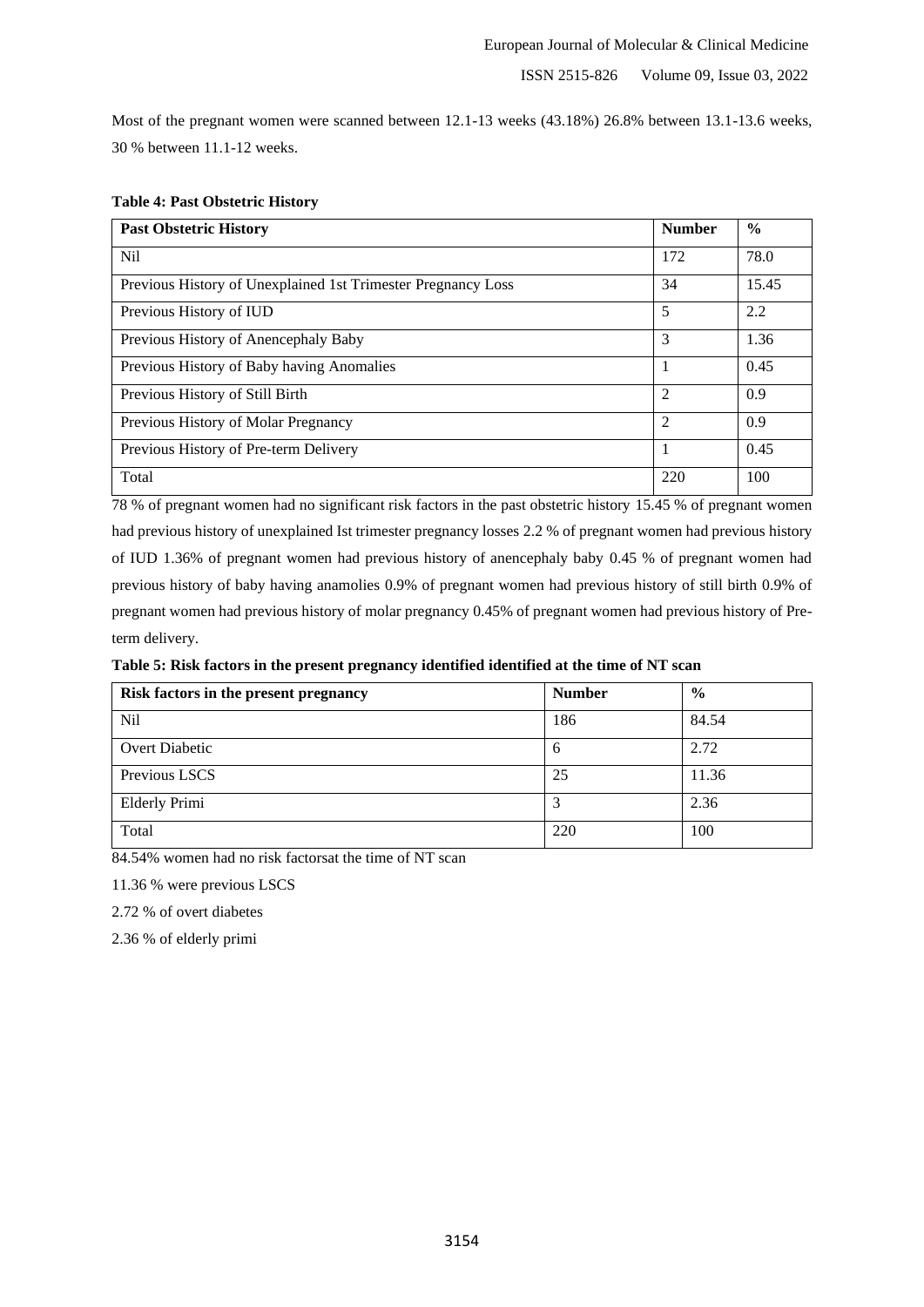Most of the pregnant women were scanned between 12.1-13 weeks (43.18%) 26.8% between 13.1-13.6 weeks, 30 % between 11.1-12 weeks.

| <b>Past Obstetric History</b>                                | <b>Number</b>  | $\frac{0}{0}$ |
|--------------------------------------------------------------|----------------|---------------|
| N <sub>il</sub>                                              | 172            | 78.0          |
| Previous History of Unexplained 1st Trimester Pregnancy Loss | 34             | 15.45         |
| Previous History of IUD                                      | 5              | 2.2           |
| Previous History of Anencephaly Baby                         | 3              | 1.36          |
| Previous History of Baby having Anomalies                    |                | 0.45          |
| Previous History of Still Birth                              | $\overline{c}$ | 0.9           |
| Previous History of Molar Pregnancy                          | 2              | 0.9           |
| Previous History of Pre-term Delivery                        |                | 0.45          |
| Total                                                        | 220            | 100           |

# **Table 4: Past Obstetric History**

78 % of pregnant women had no significant risk factors in the past obstetric history 15.45 % of pregnant women had previous history of unexplained Ist trimester pregnancy losses 2.2 % of pregnant women had previous history of IUD 1.36% of pregnant women had previous history of anencephaly baby 0.45 % of pregnant women had previous history of baby having anamolies 0.9% of pregnant women had previous history of still birth 0.9% of pregnant women had previous history of molar pregnancy 0.45% of pregnant women had previous history of Preterm delivery.

## **Table 5: Risk factors in the present pregnancy identified identified at the time of NT scan**

| Risk factors in the present pregnancy | <b>Number</b> | $\frac{6}{9}$ |
|---------------------------------------|---------------|---------------|
| Nil                                   | 186           | 84.54         |
| Overt Diabetic                        | 6             | 2.72          |
| Previous LSCS                         | 25            | 11.36         |
| <b>Elderly Primi</b>                  |               | 2.36          |
| Total                                 | 220           | 100           |

84.54% women had no risk factorsat the time of NT scan

11.36 % were previous LSCS

2.72 % of overt diabetes

2.36 % of elderly primi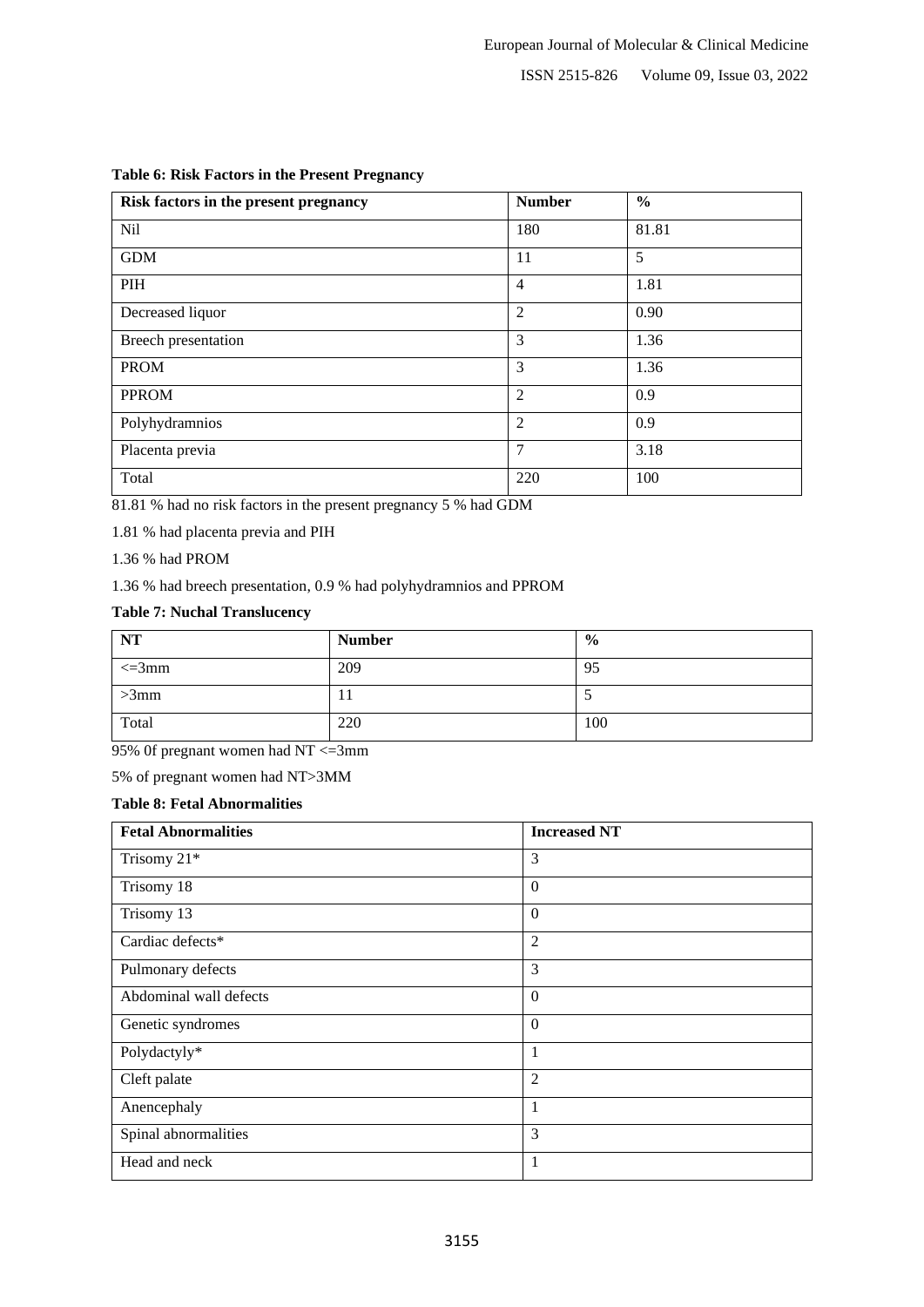| Risk factors in the present pregnancy | <b>Number</b>  | $\frac{0}{0}$ |
|---------------------------------------|----------------|---------------|
| <b>Nil</b>                            | 180            | 81.81         |
| <b>GDM</b>                            | 11             | 5             |
| PIH                                   | $\overline{4}$ | 1.81          |
| Decreased liquor                      | $\overline{2}$ | 0.90          |
| Breech presentation                   | 3              | 1.36          |
| <b>PROM</b>                           | 3              | 1.36          |
| <b>PPROM</b>                          | $\overline{2}$ | 0.9           |
| Polyhydramnios                        | $\overline{2}$ | 0.9           |
| Placenta previa                       | $\overline{7}$ | 3.18          |
| Total                                 | 220            | 100           |

# **Table 6: Risk Factors in the Present Pregnancy**

81.81 % had no risk factors in the present pregnancy 5 % had GDM

1.81 % had placenta previa and PIH

1.36 % had PROM

1.36 % had breech presentation, 0.9 % had polyhydramnios and PPROM

# **Table 7: Nuchal Translucency**

| <b>NT</b>   | <b>Number</b> | $\frac{0}{0}$ |
|-------------|---------------|---------------|
| $\leq$ =3mm | 209           | 95            |
| $>3$ mm     |               |               |
| Total       | 220           | 100           |

95% 0f pregnant women had NT <=3mm

5% of pregnant women had NT>3MM

# **Table 8: Fetal Abnormalities**

| <b>Fetal Abnormalities</b> | <b>Increased NT</b> |
|----------------------------|---------------------|
| Trisomy 21*                | 3                   |
| Trisomy 18                 | $\overline{0}$      |
| Trisomy 13                 | $\overline{0}$      |
| Cardiac defects*           | $\overline{2}$      |
| Pulmonary defects          | 3                   |
| Abdominal wall defects     | $\overline{0}$      |
| Genetic syndromes          | $\overline{0}$      |
| Polydactyly*               | 1                   |
| Cleft palate               | $\overline{2}$      |
| Anencephaly                | 1                   |
| Spinal abnormalities       | 3                   |
| Head and neck              | $\perp$             |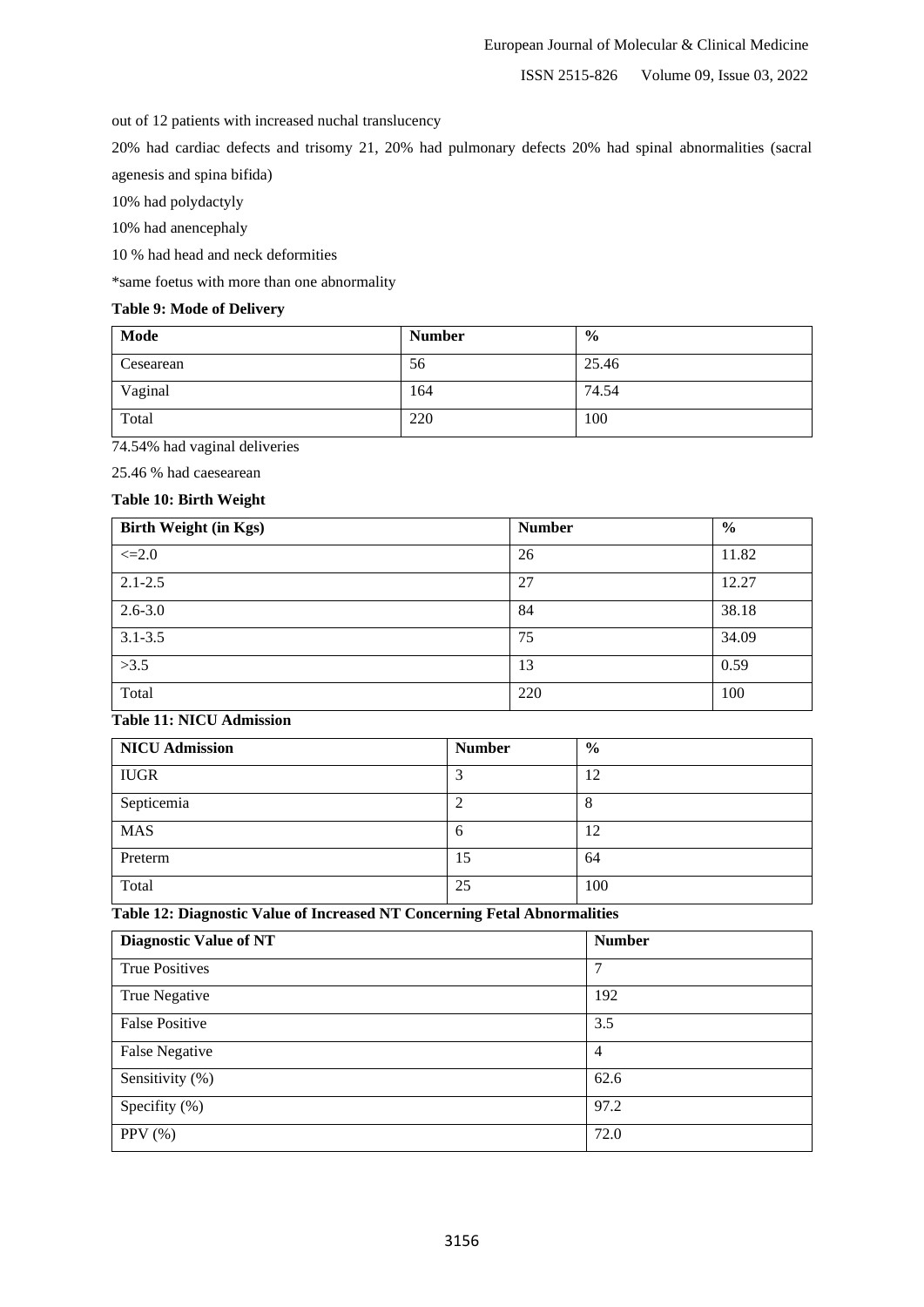out of 12 patients with increased nuchal translucency

20% had cardiac defects and trisomy 21, 20% had pulmonary defects 20% had spinal abnormalities (sacral agenesis and spina bifida)

10% had polydactyly

10% had anencephaly

10 % had head and neck deformities

\*same foetus with more than one abnormality

# **Table 9: Mode of Delivery**

| Mode      | <b>Number</b> | $\frac{6}{9}$ |
|-----------|---------------|---------------|
| Cesearean | 56            | 25.46         |
| Vaginal   | 164           | 74.54         |
| Total     | 220           | 100           |

74.54% had vaginal deliveries

25.46 % had caesearean

# **Table 10: Birth Weight**

| <b>Birth Weight (in Kgs)</b> | <b>Number</b> | $\frac{6}{6}$ |
|------------------------------|---------------|---------------|
| $\leq 2.0$                   | 26            | 11.82         |
| $2.1 - 2.5$                  | 27            | 12.27         |
| $2.6 - 3.0$                  | 84            | 38.18         |
| $3.1 - 3.5$                  | 75            | 34.09         |
| >3.5                         | 13            | 0.59          |
| Total                        | 220           | 100           |

# **Table 11: NICU Admission**

| <b>NICU Admission</b> | <b>Number</b> | $\frac{6}{6}$ |
|-----------------------|---------------|---------------|
| <b>IUGR</b>           |               | 12            |
| Septicemia            |               |               |
| <b>MAS</b>            | h             | 12            |
| Preterm               | 15            | 64            |
| Total                 | 25            | 100           |

**Table 12: Diagnostic Value of Increased NT Concerning Fetal Abnormalities**

| <b>Diagnostic Value of NT</b> | <b>Number</b>  |
|-------------------------------|----------------|
| <b>True Positives</b>         | 7              |
| True Negative                 | 192            |
| <b>False Positive</b>         | 3.5            |
| <b>False Negative</b>         | $\overline{4}$ |
| Sensitivity (%)               | 62.6           |
| Specifity (%)                 | 97.2           |
| PPV $(\% )$                   | 72.0           |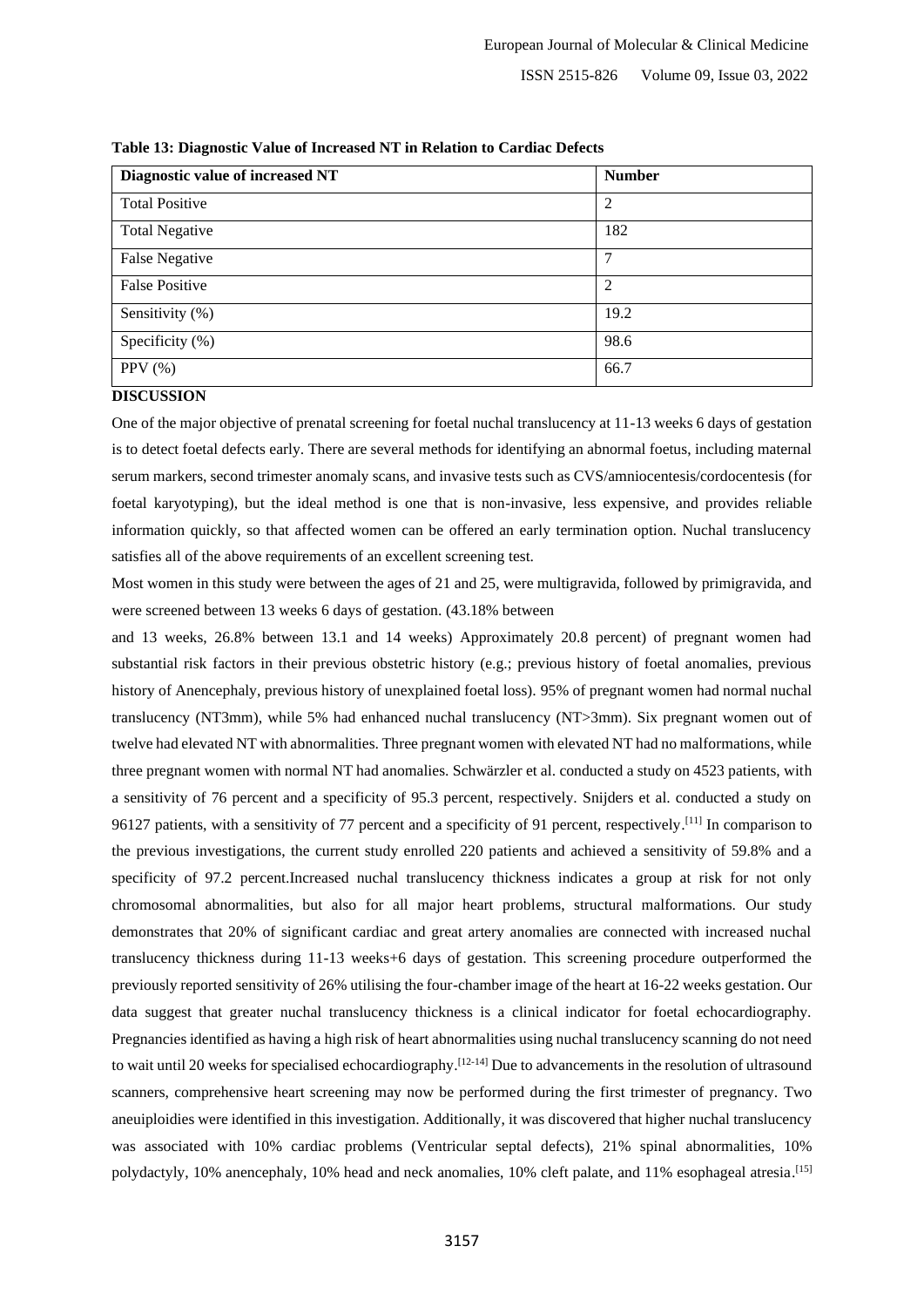| Diagnostic value of increased NT | <b>Number</b> |
|----------------------------------|---------------|
| <b>Total Positive</b>            | 2             |
| <b>Total Negative</b>            | 182           |
| <b>False Negative</b>            | 7             |
| <b>False Positive</b>            | 2             |
| Sensitivity (%)                  | 19.2          |
| Specificity (%)                  | 98.6          |
| PPV $(\% )$                      | 66.7          |

**Table 13: Diagnostic Value of Increased NT in Relation to Cardiac Defects**

#### **DISCUSSION**

One of the major objective of prenatal screening for foetal nuchal translucency at 11-13 weeks 6 days of gestation is to detect foetal defects early. There are several methods for identifying an abnormal foetus, including maternal serum markers, second trimester anomaly scans, and invasive tests such as CVS/amniocentesis/cordocentesis (for foetal karyotyping), but the ideal method is one that is non-invasive, less expensive, and provides reliable information quickly, so that affected women can be offered an early termination option. Nuchal translucency satisfies all of the above requirements of an excellent screening test.

Most women in this study were between the ages of 21 and 25, were multigravida, followed by primigravida, and were screened between 13 weeks 6 days of gestation. (43.18% between

and 13 weeks, 26.8% between 13.1 and 14 weeks) Approximately 20.8 percent) of pregnant women had substantial risk factors in their previous obstetric history (e.g.; previous history of foetal anomalies, previous history of Anencephaly, previous history of unexplained foetal loss). 95% of pregnant women had normal nuchal translucency (NT3mm), while 5% had enhanced nuchal translucency (NT>3mm). Six pregnant women out of twelve had elevated NT with abnormalities. Three pregnant women with elevated NT had no malformations, while three pregnant women with normal NT had anomalies. Schwärzler et al. conducted a study on 4523 patients, with a sensitivity of 76 percent and a specificity of 95.3 percent, respectively. Snijders et al. conducted a study on 96127 patients, with a sensitivity of 77 percent and a specificity of 91 percent, respectively.<sup>[11]</sup> In comparison to the previous investigations, the current study enrolled 220 patients and achieved a sensitivity of 59.8% and a specificity of 97.2 percent.Increased nuchal translucency thickness indicates a group at risk for not only chromosomal abnormalities, but also for all major heart problems, structural malformations. Our study demonstrates that 20% of significant cardiac and great artery anomalies are connected with increased nuchal translucency thickness during 11-13 weeks+6 days of gestation. This screening procedure outperformed the previously reported sensitivity of 26% utilising the four-chamber image of the heart at 16-22 weeks gestation. Our data suggest that greater nuchal translucency thickness is a clinical indicator for foetal echocardiography. Pregnancies identified as having a high risk of heart abnormalities using nuchal translucency scanning do not need to wait until 20 weeks for specialised echocardiography.<sup>[12-14]</sup> Due to advancements in the resolution of ultrasound scanners, comprehensive heart screening may now be performed during the first trimester of pregnancy. Two aneuiploidies were identified in this investigation. Additionally, it was discovered that higher nuchal translucency was associated with 10% cardiac problems (Ventricular septal defects), 21% spinal abnormalities, 10% polydactyly, 10% anencephaly, 10% head and neck anomalies, 10% cleft palate, and 11% esophageal atresia.<sup>[15]</sup>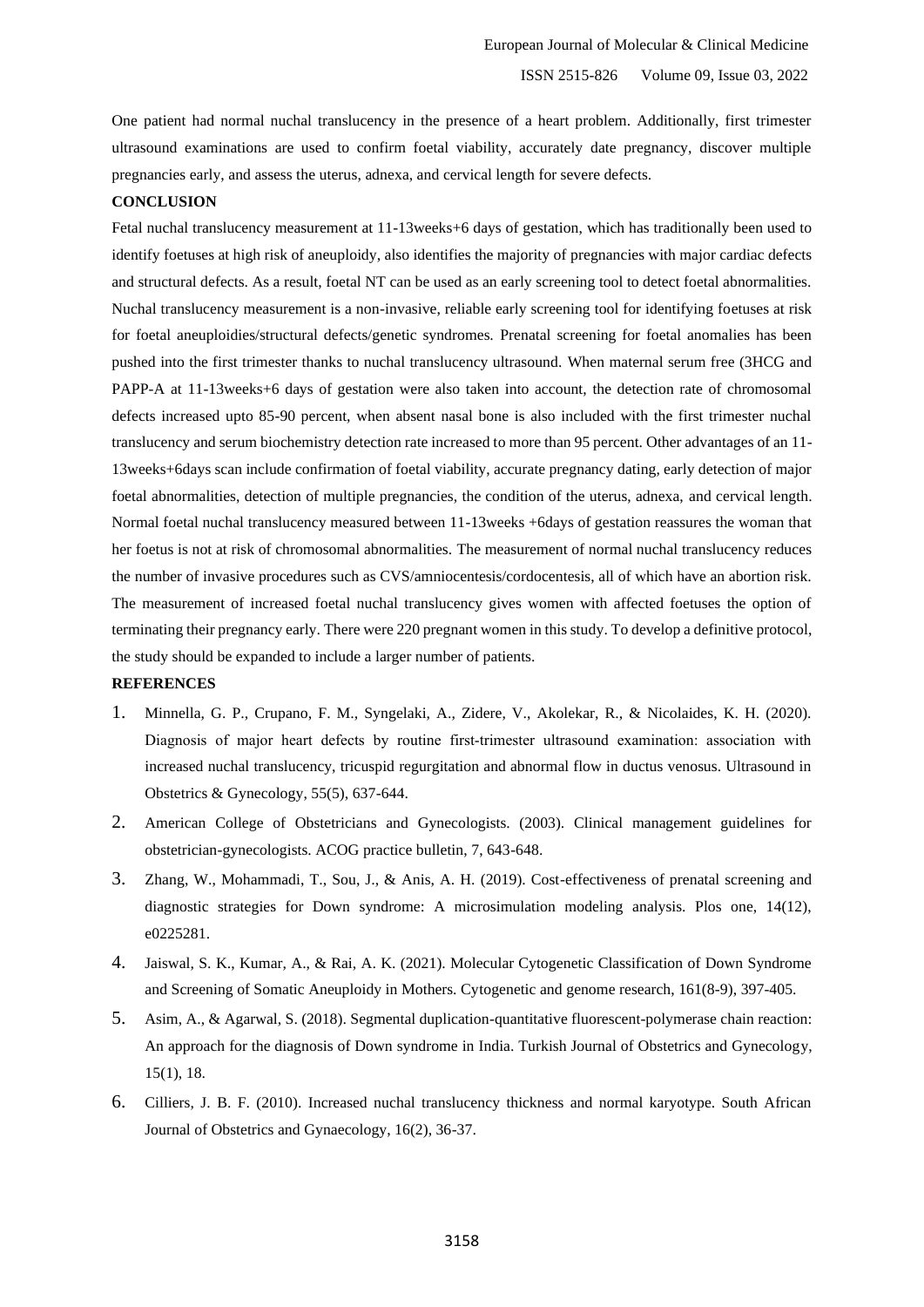One patient had normal nuchal translucency in the presence of a heart problem. Additionally, first trimester ultrasound examinations are used to confirm foetal viability, accurately date pregnancy, discover multiple pregnancies early, and assess the uterus, adnexa, and cervical length for severe defects.

#### **CONCLUSION**

Fetal nuchal translucency measurement at 11-13weeks+6 days of gestation, which has traditionally been used to identify foetuses at high risk of aneuploidy, also identifies the majority of pregnancies with major cardiac defects and structural defects. As a result, foetal NT can be used as an early screening tool to detect foetal abnormalities. Nuchal translucency measurement is a non-invasive, reliable early screening tool for identifying foetuses at risk for foetal aneuploidies/structural defects/genetic syndromes. Prenatal screening for foetal anomalies has been pushed into the first trimester thanks to nuchal translucency ultrasound. When maternal serum free (3HCG and PAPP-A at 11-13weeks+6 days of gestation were also taken into account, the detection rate of chromosomal defects increased upto 85-90 percent, when absent nasal bone is also included with the first trimester nuchal translucency and serum biochemistry detection rate increased to more than 95 percent. Other advantages of an 11- 13weeks+6days scan include confirmation of foetal viability, accurate pregnancy dating, early detection of major foetal abnormalities, detection of multiple pregnancies, the condition of the uterus, adnexa, and cervical length. Normal foetal nuchal translucency measured between 11-13weeks +6days of gestation reassures the woman that her foetus is not at risk of chromosomal abnormalities. The measurement of normal nuchal translucency reduces the number of invasive procedures such as CVS/amniocentesis/cordocentesis, all of which have an abortion risk. The measurement of increased foetal nuchal translucency gives women with affected foetuses the option of terminating their pregnancy early. There were 220 pregnant women in this study. To develop a definitive protocol, the study should be expanded to include a larger number of patients.

#### **REFERENCES**

- 1. Minnella, G. P., Crupano, F. M., Syngelaki, A., Zidere, V., Akolekar, R., & Nicolaides, K. H. (2020). Diagnosis of major heart defects by routine first-trimester ultrasound examination: association with increased nuchal translucency, tricuspid regurgitation and abnormal flow in ductus venosus. Ultrasound in Obstetrics & Gynecology, 55(5), 637-644.
- 2. American College of Obstetricians and Gynecologists. (2003). Clinical management guidelines for obstetrician-gynecologists. ACOG practice bulletin, 7, 643-648.
- 3. Zhang, W., Mohammadi, T., Sou, J., & Anis, A. H. (2019). Cost-effectiveness of prenatal screening and diagnostic strategies for Down syndrome: A microsimulation modeling analysis. Plos one, 14(12), e0225281.
- 4. Jaiswal, S. K., Kumar, A., & Rai, A. K. (2021). Molecular Cytogenetic Classification of Down Syndrome and Screening of Somatic Aneuploidy in Mothers. Cytogenetic and genome research, 161(8-9), 397-405.
- 5. Asim, A., & Agarwal, S. (2018). Segmental duplication-quantitative fluorescent-polymerase chain reaction: An approach for the diagnosis of Down syndrome in India. Turkish Journal of Obstetrics and Gynecology, 15(1), 18.
- 6. Cilliers, J. B. F. (2010). Increased nuchal translucency thickness and normal karyotype. South African Journal of Obstetrics and Gynaecology, 16(2), 36-37.